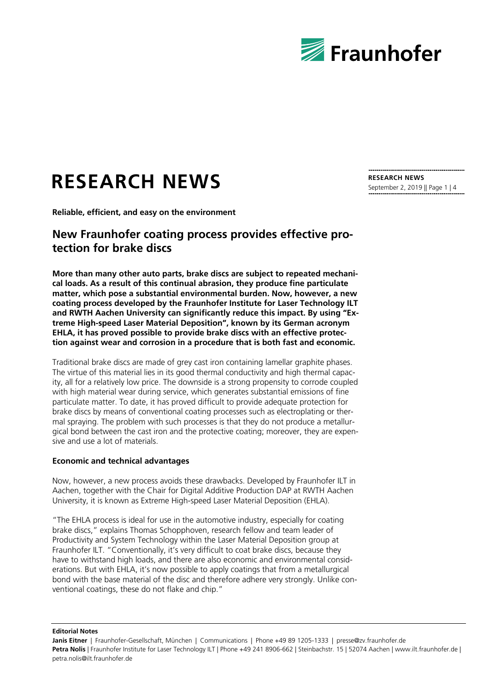

# **RESEARCH NEWS**

**Reliable, efficient, and easy on the environment**

## **New Fraunhofer coating process provides effective protection for brake discs**

**More than many other auto parts, brake discs are subject to repeated mechanical loads. As a result of this continual abrasion, they produce fine particulate matter, which pose a substantial environmental burden. Now, however, a new coating process developed by the Fraunhofer Institute for Laser Technology ILT and RWTH Aachen University can significantly reduce this impact. By using "Extreme High-speed Laser Material Deposition", known by its German acronym EHLA, it has proved possible to provide brake discs with an effective protection against wear and corrosion in a procedure that is both fast and economic.**

Traditional brake discs are made of grey cast iron containing lamellar graphite phases. The virtue of this material lies in its good thermal conductivity and high thermal capacity, all for a relatively low price. The downside is a strong propensity to corrode coupled with high material wear during service, which generates substantial emissions of fine particulate matter. To date, it has proved difficult to provide adequate protection for brake discs by means of conventional coating processes such as electroplating or thermal spraying. The problem with such processes is that they do not produce a metallurgical bond between the cast iron and the protective coating; moreover, they are expensive and use a lot of materials.

#### **Economic and technical advantages**

Now, however, a new process avoids these drawbacks. Developed by Fraunhofer ILT in Aachen, together with the Chair for Digital Additive Production DAP at RWTH Aachen University, it is known as Extreme High-speed Laser Material Deposition (EHLA).

"The EHLA process is ideal for use in the automotive industry, especially for coating brake discs," explains Thomas Schopphoven, research fellow and team leader of Productivity and System Technology within the Laser Material Deposition group at Fraunhofer ILT. "Conventionally, it's very difficult to coat brake discs, because they have to withstand high loads, and there are also economic and environmental considerations. But with EHLA, it's now possible to apply coatings that from a metallurgical bond with the base material of the disc and therefore adhere very strongly. Unlike conventional coatings, these do not flake and chip."

**Editorial Notes**

Janis Eitner | Fraunhofer-Gesellschaft, München | Communications | Phone +49 89 1205-1333 | presse@zv.fraunhofer.de Petra Nolis | Fraunhofer Institute for Laser Technology ILT | Phone +49 241 8906-662 | Steinbachstr. 15 | 52074 Aachen | www.ilt.fraunhofer.de | petra.nolis@ilt.fraunhofer.de

**RESEARCH NEWS** September 2, 2019 || Page 1 | 4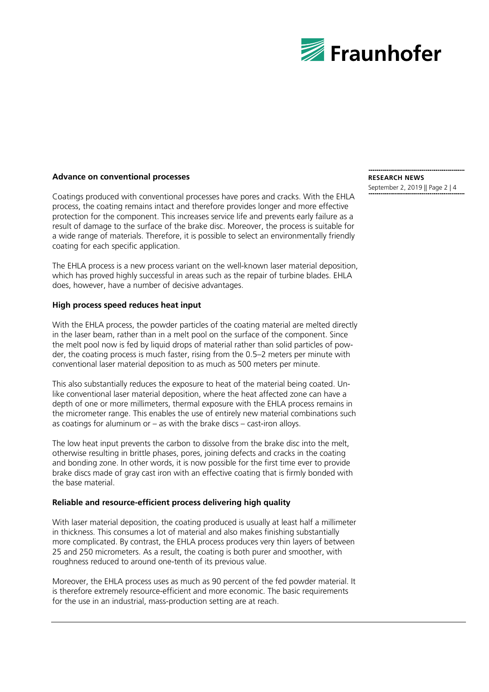

#### **Advance on conventional processes**

Coatings produced with conventional processes have pores and cracks. With the EHLA process, the coating remains intact and therefore provides longer and more effective protection for the component. This increases service life and prevents early failure as a result of damage to the surface of the brake disc. Moreover, the process is suitable for a wide range of materials. Therefore, it is possible to select an environmentally friendly coating for each specific application.

The EHLA process is a new process variant on the well-known laser material deposition, which has proved highly successful in areas such as the repair of turbine blades. EHLA does, however, have a number of decisive advantages.

## **High process speed reduces heat input**

With the EHLA process, the powder particles of the coating material are melted directly in the laser beam, rather than in a melt pool on the surface of the component. Since the melt pool now is fed by liquid drops of material rather than solid particles of powder, the coating process is much faster, rising from the 0.5–2 meters per minute with conventional laser material deposition to as much as 500 meters per minute.

This also substantially reduces the exposure to heat of the material being coated. Unlike conventional laser material deposition, where the heat affected zone can have a depth of one or more millimeters, thermal exposure with the EHLA process remains in the micrometer range. This enables the use of entirely new material combinations such as coatings for aluminum or  $-$  as with the brake discs  $-$  cast-iron alloys.

The low heat input prevents the carbon to dissolve from the brake disc into the melt, otherwise resulting in brittle phases, pores, joining defects and cracks in the coating and bonding zone. In other words, it is now possible for the first time ever to provide brake discs made of gray cast iron with an effective coating that is firmly bonded with the base material.

#### **Reliable and resource-efficient process delivering high quality**

With laser material deposition, the coating produced is usually at least half a millimeter in thickness. This consumes a lot of material and also makes finishing substantially more complicated. By contrast, the EHLA process produces very thin layers of between 25 and 250 micrometers. As a result, the coating is both purer and smoother, with roughness reduced to around one-tenth of its previous value.

Moreover, the EHLA process uses as much as 90 percent of the fed powder material. It is therefore extremely resource-efficient and more economic. The basic requirements for the use in an industrial, mass-production setting are at reach.

# **RESEARCH NEWS**

September 2, 2019 || Page 2 | 4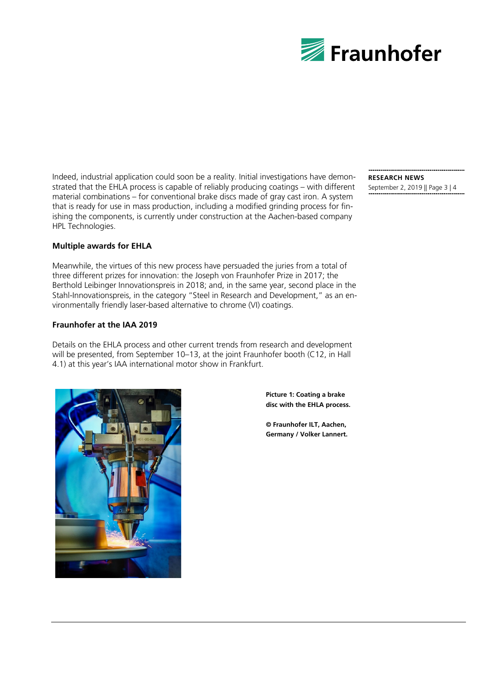

Indeed, industrial application could soon be a reality. Initial investigations have demonstrated that the EHLA process is capable of reliably producing coatings – with different material combinations – for conventional brake discs made of gray cast iron. A system that is ready for use in mass production, including a modified grinding process for finishing the components, is currently under construction at the Aachen-based company HPL Technologies.

## **Multiple awards for EHLA**

Meanwhile, the virtues of this new process have persuaded the juries from a total of three different prizes for innovation: the Joseph von Fraunhofer Prize in 2017; the Berthold Leibinger Innovationspreis in 2018; and, in the same year, second place in the Stahl-Innovationspreis, in the category "Steel in Research and Development," as an environmentally friendly laser-based alternative to chrome (VI) coatings.

#### **Fraunhofer at the IAA 2019**

Details on the EHLA process and other current trends from research and development will be presented, from September 10–13, at the joint Fraunhofer booth (C12, in Hall 4.1) at this year's IAA international motor show in Frankfurt.



**Picture 1: Coating a brake disc with the EHLA process.**

**© Fraunhofer ILT, Aachen, Germany / Volker Lannert.** **RESEARCH NEWS** September 2, 2019 || Page 3 | 4